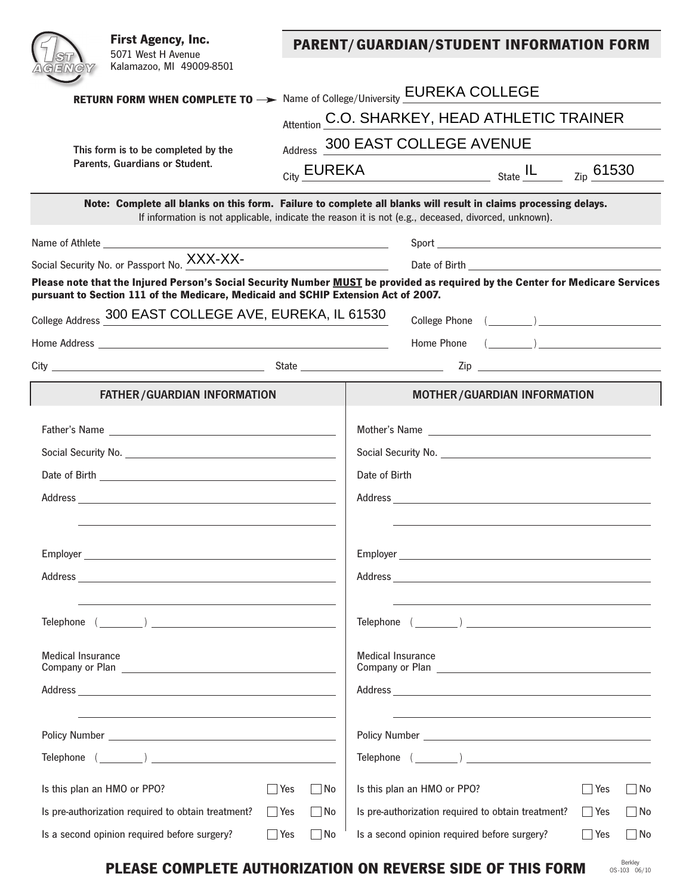|                                | <b>First Agency, Inc.</b><br>5071 West H Avenue<br>Kalamazoo, MI 49009-8501                                                                                                                                         |                                                                                                      | <b>PARENT/GUARDIAN/STUDENT INFORMATION FORM</b>                                                                            |                                                                                                                                                                                                                                |                                    |                    |           |  |
|--------------------------------|---------------------------------------------------------------------------------------------------------------------------------------------------------------------------------------------------------------------|------------------------------------------------------------------------------------------------------|----------------------------------------------------------------------------------------------------------------------------|--------------------------------------------------------------------------------------------------------------------------------------------------------------------------------------------------------------------------------|------------------------------------|--------------------|-----------|--|
|                                |                                                                                                                                                                                                                     |                                                                                                      |                                                                                                                            |                                                                                                                                                                                                                                |                                    |                    |           |  |
|                                |                                                                                                                                                                                                                     |                                                                                                      | RETURN FORM WHEN COMPLETE TO -> Name of College/University EUREKA COLLEGE<br>Attention C.O. SHARKEY, HEAD ATHLETIC TRAINER |                                                                                                                                                                                                                                |                                    |                    |           |  |
|                                |                                                                                                                                                                                                                     |                                                                                                      |                                                                                                                            |                                                                                                                                                                                                                                |                                    |                    |           |  |
|                                | This form is to be completed by the                                                                                                                                                                                 |                                                                                                      | Address 300 EAST COLLEGE AVENUE                                                                                            |                                                                                                                                                                                                                                |                                    |                    |           |  |
| Parents, Guardians or Student. |                                                                                                                                                                                                                     |                                                                                                      | $_{\rm City}$ $\overline{\rm EUREKA}$ $_{\rm State}$ $\overline{\rm IL}$                                                   |                                                                                                                                                                                                                                |                                    | $_{\rm Zip}$ 61530 |           |  |
|                                | Note: Complete all blanks on this form. Failure to complete all blanks will result in claims processing delays.                                                                                                     | If information is not applicable, indicate the reason it is not (e.g., deceased, divorced, unknown). |                                                                                                                            |                                                                                                                                                                                                                                |                                    |                    |           |  |
|                                |                                                                                                                                                                                                                     |                                                                                                      |                                                                                                                            |                                                                                                                                                                                                                                |                                    |                    |           |  |
|                                | Social Security No. or Passport No. XXX-XX-                                                                                                                                                                         |                                                                                                      | <u> 1990 - Johann Barbara, martxa</u>                                                                                      |                                                                                                                                                                                                                                |                                    |                    |           |  |
|                                | Please note that the Injured Person's Social Security Number MUST be provided as required by the Center for Medicare Services<br>pursuant to Section 111 of the Medicare, Medicaid and SCHIP Extension Act of 2007. |                                                                                                      |                                                                                                                            |                                                                                                                                                                                                                                |                                    |                    |           |  |
|                                | College Address 300 EAST COLLEGE AVE, EUREKA, IL 61530                                                                                                                                                              |                                                                                                      |                                                                                                                            |                                                                                                                                                                                                                                |                                    |                    |           |  |
|                                |                                                                                                                                                                                                                     |                                                                                                      |                                                                                                                            |                                                                                                                                                                                                                                | Home Phone $(\_\_)$                |                    |           |  |
|                                |                                                                                                                                                                                                                     |                                                                                                      |                                                                                                                            |                                                                                                                                                                                                                                | $\mathsf{Zip}$ $\Box$              |                    |           |  |
|                                | <b>FATHER/GUARDIAN INFORMATION</b>                                                                                                                                                                                  |                                                                                                      |                                                                                                                            |                                                                                                                                                                                                                                | <b>MOTHER/GUARDIAN INFORMATION</b> |                    |           |  |
|                                |                                                                                                                                                                                                                     |                                                                                                      |                                                                                                                            |                                                                                                                                                                                                                                |                                    |                    |           |  |
|                                |                                                                                                                                                                                                                     |                                                                                                      |                                                                                                                            |                                                                                                                                                                                                                                |                                    |                    |           |  |
|                                |                                                                                                                                                                                                                     |                                                                                                      |                                                                                                                            | Date of Birth                                                                                                                                                                                                                  |                                    |                    |           |  |
|                                |                                                                                                                                                                                                                     |                                                                                                      |                                                                                                                            |                                                                                                                                                                                                                                |                                    |                    |           |  |
|                                |                                                                                                                                                                                                                     |                                                                                                      |                                                                                                                            |                                                                                                                                                                                                                                |                                    |                    |           |  |
|                                |                                                                                                                                                                                                                     |                                                                                                      |                                                                                                                            |                                                                                                                                                                                                                                |                                    |                    |           |  |
|                                |                                                                                                                                                                                                                     |                                                                                                      |                                                                                                                            |                                                                                                                                                                                                                                |                                    |                    |           |  |
|                                |                                                                                                                                                                                                                     |                                                                                                      |                                                                                                                            |                                                                                                                                                                                                                                |                                    |                    |           |  |
|                                |                                                                                                                                                                                                                     |                                                                                                      |                                                                                                                            |                                                                                                                                                                                                                                | Telephone ( )                      |                    |           |  |
| <b>Medical Insurance</b>       |                                                                                                                                                                                                                     |                                                                                                      | <b>Medical Insurance</b>                                                                                                   |                                                                                                                                                                                                                                |                                    |                    |           |  |
|                                |                                                                                                                                                                                                                     |                                                                                                      |                                                                                                                            |                                                                                                                                                                                                                                |                                    |                    |           |  |
|                                |                                                                                                                                                                                                                     |                                                                                                      |                                                                                                                            | Policy Number 2008 and 2008 and 2008 and 2008 and 2008 and 2008 and 2008 and 2008 and 2008 and 2008 and 2008 and 2008 and 2008 and 2008 and 2008 and 2008 and 2008 and 2008 and 2008 and 2008 and 2008 and 2008 and 2008 and 2 |                                    |                    |           |  |
|                                |                                                                                                                                                                                                                     |                                                                                                      | $\mathsf{Telephone} \quad (\_\_\_\_)$                                                                                      |                                                                                                                                                                                                                                |                                    |                    |           |  |
|                                | Is this plan an HMO or PPO?                                                                                                                                                                                         | $ $ Yes                                                                                              | $\Box$ No                                                                                                                  | Is this plan an HMO or PPO?                                                                                                                                                                                                    |                                    | $ $ Yes            | No        |  |
|                                | Is pre-authorization required to obtain treatment?                                                                                                                                                                  | $\Box$ Yes                                                                                           | l No                                                                                                                       | Is pre-authorization required to obtain treatment?                                                                                                                                                                             |                                    | ∣ ∣Yes             | □ No      |  |
|                                | Is a second opinion required before surgery?                                                                                                                                                                        | $\Box$ Yes                                                                                           | No                                                                                                                         | Is a second opinion required before surgery?                                                                                                                                                                                   |                                    | Yes                | $\Box$ No |  |

## **PLEASE COMPLETE AUTHORIZATION ON REVERSE SIDE OF THIS FORM Berkley And a Berkley**